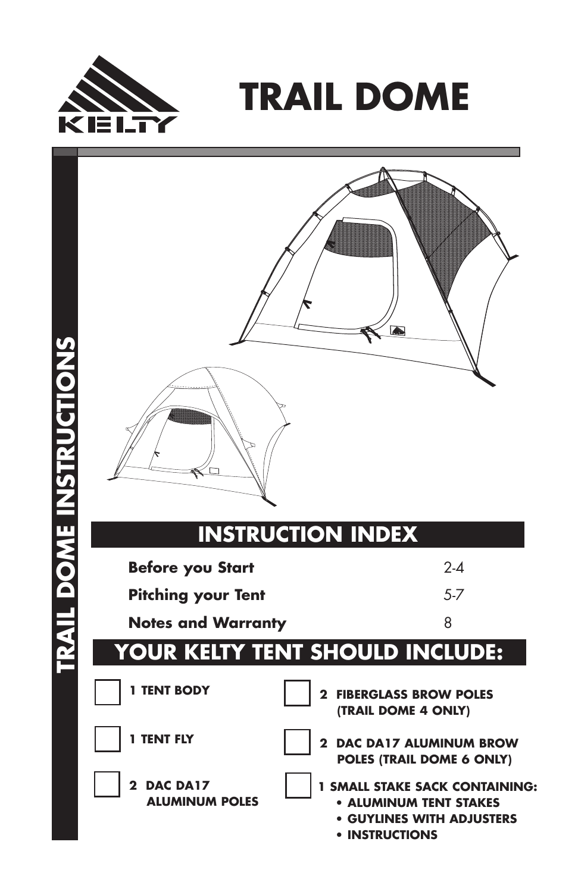

**TRAIL DOME** 

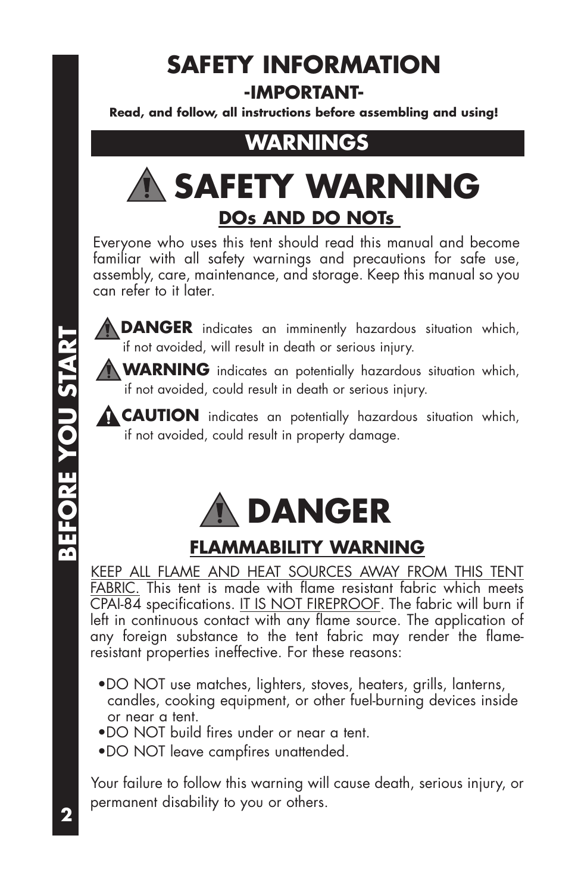## **SAFETY INFORMATION -IMPORTANT-**

**Read, and follow, all instructions before assembling and using!**

## **WARNINGS**

# **SAFETY WARNING DOs AND DO NOTs**

Everyone who uses this tent should read this manual and become familiar with all safety warnings and precautions for safe use, assembly, care, maintenance, and storage. Keep this manual so you can refer to it later.

**DANGER** indicates an imminently hazardous situation which, if not avoided, will result in death or serious injury.

**WARNING** indicates an potentially hazardous situation which, if not avoided, could result in death or serious injury.

**CAUTION** indicates an potentially hazardous situation which, if not avoided, could result in property damage.



#### **FLAMMABILITY WARNING**

KEEP ALL FLAME AND HEAT SOURCES AWAY FROM THIS TENT FABRIC. This tent is made with flame resistant fabric which meets CPAI-84 specifications. IT IS NOT FIREPROOF. The fabric will burn if left in continuous contact with any flame source. The application of any foreign substance to the tent fabric may render the flameresistant properties ineffective. For these reasons:

- •DO NOT use matches, lighters, stoves, heaters, grills, lanterns, candles, cooking equipment, or other fuel-burning devices inside or near a tent.
- •DO NOT build fires under or near a tent.
- •DO NOT leave campfires unattended.

Your failure to follow this warning will cause death, serious injury, or permanent disability to you or others.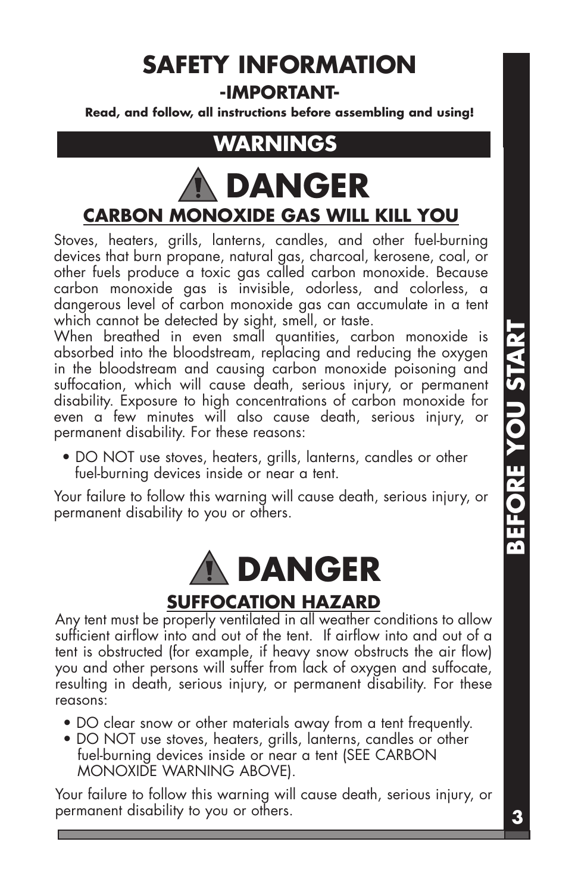## **SAFETY INFORMATION -IMPORTANT-**

**Read, and follow, all instructions before assembling and using!**

## **WARNINGS**

# **DANGER CARBON MONOXIDE GAS WILL KILL YOU**

Stoves, heaters, grills, lanterns, candles, and other fuel-burning devices that burn propane, natural gas, charcoal, kerosene, coal, or other fuels produce a toxic gas called carbon monoxide. Because carbon monoxide gas is invisible, odorless, and colorless, a dangerous level of carbon monoxide gas can accumulate in a tent which cannot be detected by sight, smell, or taste.

When breathed in even small quantities, carbon monoxide is absorbed into the bloodstream, replacing and reducing the oxygen in the bloodstream and causing carbon monoxide poisoning and suffocation, which will cause death, serious injury, or permanent disability. Exposure to high concentrations of carbon monoxide for even a few minutes will also cause death, serious injury, or permanent disability. For these reasons:

• DO NOT use stoves, heaters, grills, lanterns, candles or other fuel-burning devices inside or near a tent.

Your failure to follow this warning will cause death, serious injury, or permanent disability to you or others.



## **SUFFOCATION HAZARD**

Any tent must be properly ventilated in all weather conditions to allow sufficient airflow into and out of the tent. If airflow into and out of a tent is obstructed (for example, if heavy snow obstructs the air flow) you and other persons will suffer from lack of oxygen and suffocate, resulting in death, serious injury, or permanent disability. For these reasons:

- DO clear snow or other materials away from a tent frequently.
- DO NOT use stoves, heaters, grills, lanterns, candles or other fuel-burning devices inside or near a tent (SEE CARBON MONOXIDE WARNING ABOVE).

Your failure to follow this warning will cause death, serious injury, or permanent disability to you or others.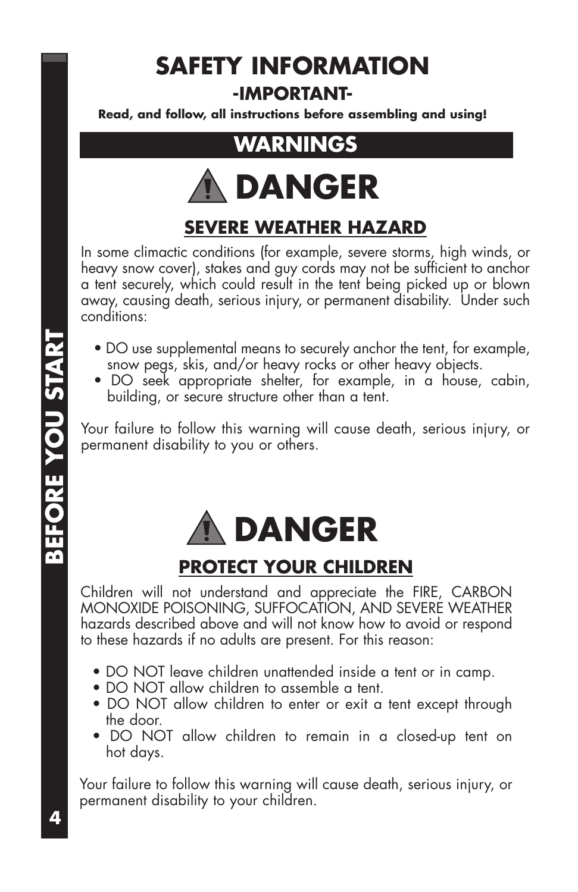## **SAFETY INFORMATION -IMPORTANT-**

**Read, and follow, all instructions before assembling and using!**

## **WARNINGS**



### **SEVERE WEATHER HAZARD**

In some climactic conditions (for example, severe storms, high winds, or heavy snow cover), stakes and guy cords may not be sufficient to anchor a tent securely, which could result in the tent being picked up or blown away, causing death, serious injury, or permanent disability. Under such conditions:

- DO use supplemental means to securely anchor the tent, for example, snow pegs, skis, and/or heavy rocks or other heavy objects.
- DO seek appropriate shelter, for example, in a house, cabin, building, or secure structure other than a tent.

Your failure to follow this warning will cause death, serious injury, or permanent disability to you or others.



#### **PROTECT YOUR CHILDREN**

Children will not understand and appreciate the FIRE, CARBON MONOXIDE POISONING, SUFFOCATION, AND SEVERE WEATHER hazards described above and will not know how to avoid or respond to these hazards if no adults are present. For this reason:

- DO NOT leave children unattended inside a tent or in camp.
- DO NOT allow children to assemble a tent.
- DO NOT allow children to enter or exit a tent except through the door.
- DO NOT allow children to remain in a closed-up tent on hot days.

Your failure to follow this warning will cause death, serious injury, or permanent disability to your children.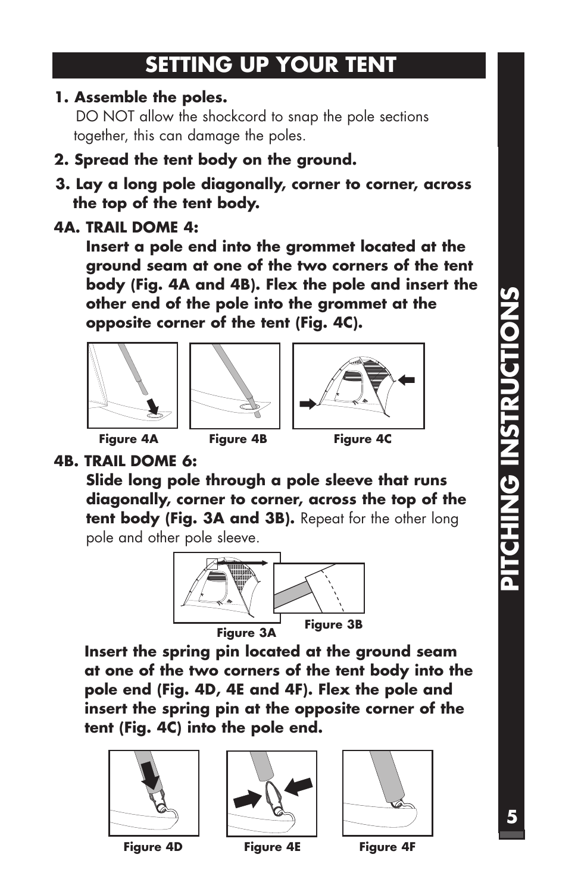## **SETTING UP YOUR TENT**

**1. Assemble the poles.** 

DO NOT allow the shockcord to snap the pole sections together, this can damage the poles.

- **2. Spread the tent body on the ground.**
- **3. Lay a long pole diagonally, corner to corner, across the top of the tent body.**
- **4A. TRAIL DOME 4:**

**Insert a pole end into the grommet located at the ground seam at one of the two corners of the tent body (Fig. 4A and 4B). Flex the pole and insert the other end of the pole into the grommet at the opposite corner of the tent (Fig. 4C).**







**4B. TRAIL DOME 6:** 

**Slide long pole through a pole sleeve that runs diagonally, corner to corner, across the top of the tent body (Fig. 3A and 3B).** Repeat for the other long pole and other pole sleeve.



**Insert the spring pin located at the ground seam at one of the two corners of the tent body into the pole end (Fig. 4D, 4E and 4F). Flex the pole and insert the spring pin at the opposite corner of the tent (Fig. 4C) into the pole end.** 



**Figure 4D Figure 4E Figure 4F**



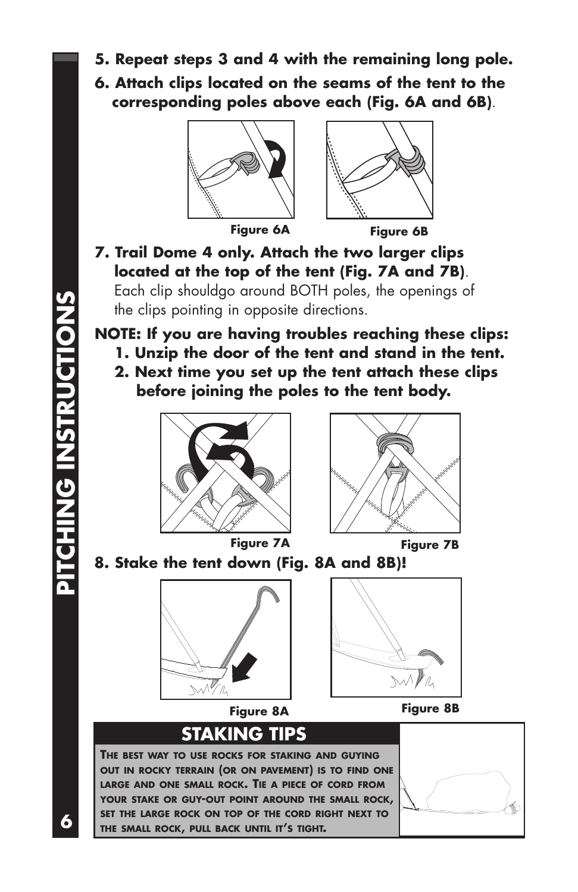- **5. Repeat steps 3 and 4 with the remaining long pole.**
- **6. Attach clips located on the seams of the tent to the corresponding poles above each (Fig. 6A and 6B)**.



**Figure 6A Figure 6B**



#### **7. Trail Dome 4 only. Attach the two larger clips located at the top of the tent (Fig. 7A and 7B)**.

Each clip shouldgo around BOTH poles, the openings of the clips pointing in opposite directions.

#### **NOTE: If you are having troubles reaching these clips:**

- **1. Unzip the door of the tent and stand in the tent.**
- **2. Next time you set up the tent attach these clips before joining the poles to the tent body.**







**8. Stake the tent down (Fig. 8A and 8B)!**





**Figure 8A Figure 8B**

## **STAKING TIPS**

**THE BEST WAY TO USE ROCKS FOR STAKING AND GUYING OUT IN ROCKY TERRAIN (OR ON PAVEMENT) IS TO FIND ONE LARGE AND ONE SMALL ROCK. TIE A PIECE OF CORD FROM YOUR STAKE OR GUY-OUT POINT AROUND THE SMALL ROCK, SET THE LARGE ROCK ON TOP OF THE CORD RIGHT NEXT TO THE SMALL ROCK, PULL BACK UNTIL IT'S TIGHT.** 



PITCHING INSTRUCTIONS **6PITCHING INSTRUCTIONS**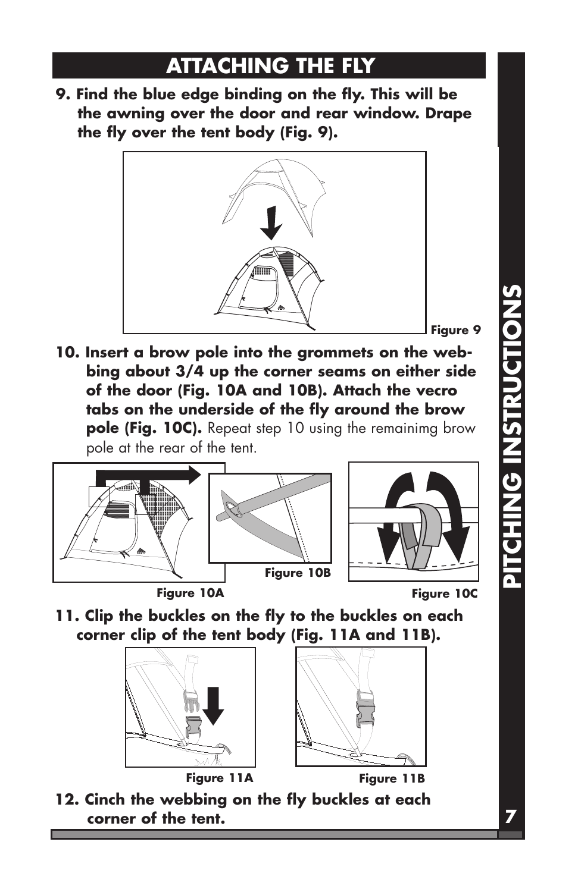## **ATTACHING THE FLY**

**9. Find the blue edge binding on the fly. This will be the awning over the door and rear window. Drape the fly over the tent body (Fig. 9).**



**10. Insert a brow pole into the grommets on the webbing about 3/4 up the corner seams on either side of the door (Fig. 10A and 10B). Attach the vecro tabs on the underside of the fly around the brow pole (Fig. 10C).** Repeat step 10 using the remainimg brow pole at the rear of the tent.







- **Figure 10A Figure 10C**
- **11. Clip the buckles on the fly to the buckles on each corner clip of the tent body (Fig. 11A and 11B).**



**Figure 11A Figure 11B**



**12. Cinch the webbing on the fly buckles at each corner of the tent.** 

# **PITCHING INSTRUCTIONS PITCHING INSTRUCTIONS**

**7**